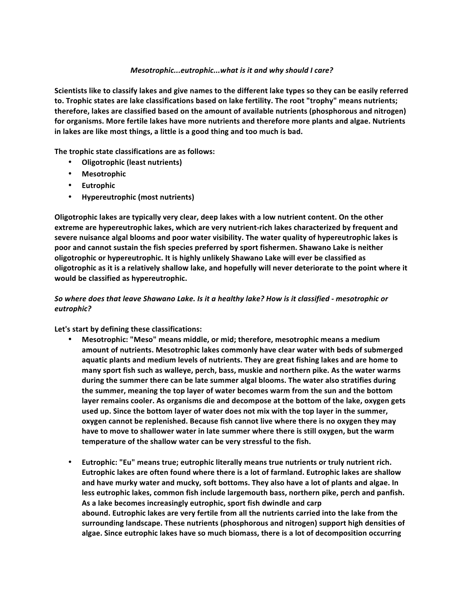## *Mesotrophic...eutrophic...what is it and why should I care?*

Scientists like to classify lakes and give names to the different lake types so they can be easily referred to. Trophic states are lake classifications based on lake fertility. The root "trophy" means nutrients; **therefore, lakes are classified based on the amount of available nutrients (phosphorous and nitrogen)** for organisms. More fertile lakes have more nutrients and therefore more plants and algae. Nutrients in lakes are like most things, a little is a good thing and too much is bad.

The trophic state classifications are as follows:

- **•** Oligotrophic (least nutrients)
- **Mesotrophic**
- **Eutrophic**
- **•** Hypereutrophic (most nutrients)

**Oligotrophic lakes are typically very clear, deep lakes with a low nutrient content. On the other** extreme are hypereutrophic lakes, which are very nutrient-rich lakes characterized by frequent and severe nuisance algal blooms and poor water visibility. The water quality of hypereutrophic lakes is **poor and cannot sustain the fish species preferred by sport fishermen. Shawano Lake is neither** oligotrophic or hypereutrophic. It is highly unlikely Shawano Lake will ever be classified as oligotrophic as it is a relatively shallow lake, and hopefully will never deteriorate to the point where it **would be classified as hypereutrophic.**

## So where does that leave Shawano Lake. Is it a healthy lake? How is it classified - mesotrophic or *eutrophic?*

Let's start by defining these classifications:

- **Mesotrophic: "Meso" means middle, or mid; therefore, mesotrophic means a medium** amount of nutrients. Mesotrophic lakes commonly have clear water with beds of submerged aquatic plants and medium levels of nutrients. They are great fishing lakes and are home to many sport fish such as walleye, perch, bass, muskie and northern pike. As the water warms during the summer there can be late summer algal blooms. The water also stratifies during the summer, meaning the top layer of water becomes warm from the sun and the bottom layer remains cooler. As organisms die and decompose at the bottom of the lake, oxygen gets used up. Since the bottom layer of water does not mix with the top layer in the summer, oxygen cannot be replenished. Because fish cannot live where there is no oxygen they may **have to move to shallower water in late summer where there is still oxygen, but the warm** temperature of the shallow water can be very stressful to the fish.
- Eutrophic: "Eu" means true; eutrophic literally means true nutrients or truly nutrient rich. Eutrophic lakes are often found where there is a lot of farmland. Eutrophic lakes are shallow and have murky water and mucky, soft bottoms. They also have a lot of plants and algae. In less eutrophic lakes, common fish include largemouth bass, northern pike, perch and panfish. As a lake becomes increasingly eutrophic, sport fish dwindle and carp abound. Eutrophic lakes are very fertile from all the nutrients carried into the lake from the surrounding landscape. These nutrients (phosphorous and nitrogen) support high densities of algae. Since eutrophic lakes have so much biomass, there is a lot of decomposition occurring